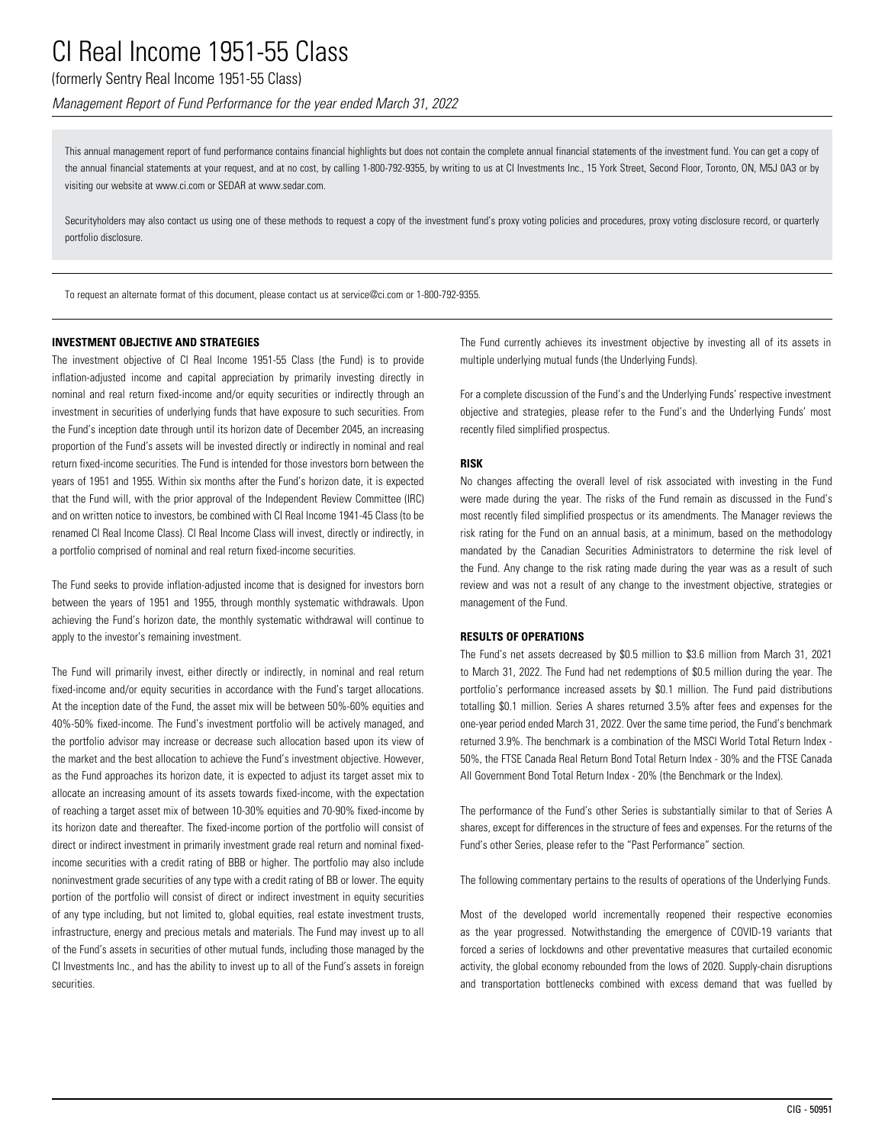## (formerly Sentry Real Income 1951-55 Class)

*Management Report of Fund Performance for the year ended March 31, 2022*

This annual management report of fund performance contains financial highlights but does not contain the complete annual financial statements of the investment fund. You can get a copy of the annual financial statements at your request, and at no cost, by calling 1-800-792-9355, by writing to us at CI Investments Inc., 15 York Street, Second Floor, Toronto, ON, M5J 0A3 or by visiting our website at www.ci.com or SEDAR at www.sedar.com.

Securityholders may also contact us using one of these methods to request a copy of the investment fund's proxy voting policies and procedures, proxy voting disclosure record, or quarterly portfolio disclosure.

To request an alternate format of this document, please contact us at service@ci.com or 1-800-792-9355.

### **INVESTMENT OBJECTIVE AND STRATEGIES**

The investment objective of CI Real Income 1951-55 Class (the Fund) is to provide inflation-adjusted income and capital appreciation by primarily investing directly in nominal and real return fixed-income and/or equity securities or indirectly through an investment in securities of underlying funds that have exposure to such securities. From the Fund's inception date through until its horizon date of December 2045, an increasing proportion of the Fund's assets will be invested directly or indirectly in nominal and real return fixed-income securities. The Fund is intended for those investors born between the years of 1951 and 1955. Within six months after the Fund's horizon date, it is expected that the Fund will, with the prior approval of the Independent Review Committee (IRC) and on written notice to investors, be combined with CI Real Income 1941-45 Class (to be renamed CI Real Income Class). CI Real Income Class will invest, directly or indirectly, in a portfolio comprised of nominal and real return fixed-income securities.

The Fund seeks to provide inflation-adjusted income that is designed for investors born between the years of 1951 and 1955, through monthly systematic withdrawals. Upon achieving the Fund's horizon date, the monthly systematic withdrawal will continue to apply to the investor's remaining investment.

The Fund will primarily invest, either directly or indirectly, in nominal and real return fixed-income and/or equity securities in accordance with the Fund's target allocations. At the inception date of the Fund, the asset mix will be between 50%-60% equities and 40%-50% fixed-income. The Fund's investment portfolio will be actively managed, and the portfolio advisor may increase or decrease such allocation based upon its view of the market and the best allocation to achieve the Fund's investment objective. However, as the Fund approaches its horizon date, it is expected to adjust its target asset mix to allocate an increasing amount of its assets towards fixed-income, with the expectation of reaching a target asset mix of between 10-30% equities and 70-90% fixed-income by its horizon date and thereafter. The fixed-income portion of the portfolio will consist of direct or indirect investment in primarily investment grade real return and nominal fixedincome securities with a credit rating of BBB or higher. The portfolio may also include noninvestment grade securities of any type with a credit rating of BB or lower. The equity portion of the portfolio will consist of direct or indirect investment in equity securities of any type including, but not limited to, global equities, real estate investment trusts, infrastructure, energy and precious metals and materials. The Fund may invest up to all of the Fund's assets in securities of other mutual funds, including those managed by the CI Investments Inc., and has the ability to invest up to all of the Fund's assets in foreign securities.

The Fund currently achieves its investment objective by investing all of its assets in multiple underlying mutual funds (the Underlying Funds).

For a complete discussion of the Fund's and the Underlying Funds' respective investment objective and strategies, please refer to the Fund's and the Underlying Funds' most recently filed simplified prospectus.

### **RISK**

No changes affecting the overall level of risk associated with investing in the Fund were made during the year. The risks of the Fund remain as discussed in the Fund's most recently filed simplified prospectus or its amendments. The Manager reviews the risk rating for the Fund on an annual basis, at a minimum, based on the methodology mandated by the Canadian Securities Administrators to determine the risk level of the Fund. Any change to the risk rating made during the year was as a result of such review and was not a result of any change to the investment objective, strategies or management of the Fund.

### **RESULTS OF OPERATIONS**

The Fund's net assets decreased by \$0.5 million to \$3.6 million from March 31, 2021 to March 31, 2022. The Fund had net redemptions of \$0.5 million during the year. The portfolio's performance increased assets by \$0.1 million. The Fund paid distributions totalling \$0.1 million. Series A shares returned 3.5% after fees and expenses for the one-year period ended March 31, 2022. Over the same time period, the Fund's benchmark returned 3.9%. The benchmark is a combination of the MSCI World Total Return Index - 50%, the FTSE Canada Real Return Bond Total Return Index - 30% and the FTSE Canada All Government Bond Total Return Index - 20% (the Benchmark or the Index).

The performance of the Fund's other Series is substantially similar to that of Series A shares, except for differences in the structure of fees and expenses. For the returns of the Fund's other Series, please refer to the "Past Performance" section.

The following commentary pertains to the results of operations of the Underlying Funds.

Most of the developed world incrementally reopened their respective economies as the year progressed. Notwithstanding the emergence of COVID-19 variants that forced a series of lockdowns and other preventative measures that curtailed economic activity, the global economy rebounded from the lows of 2020. Supply-chain disruptions and transportation bottlenecks combined with excess demand that was fuelled by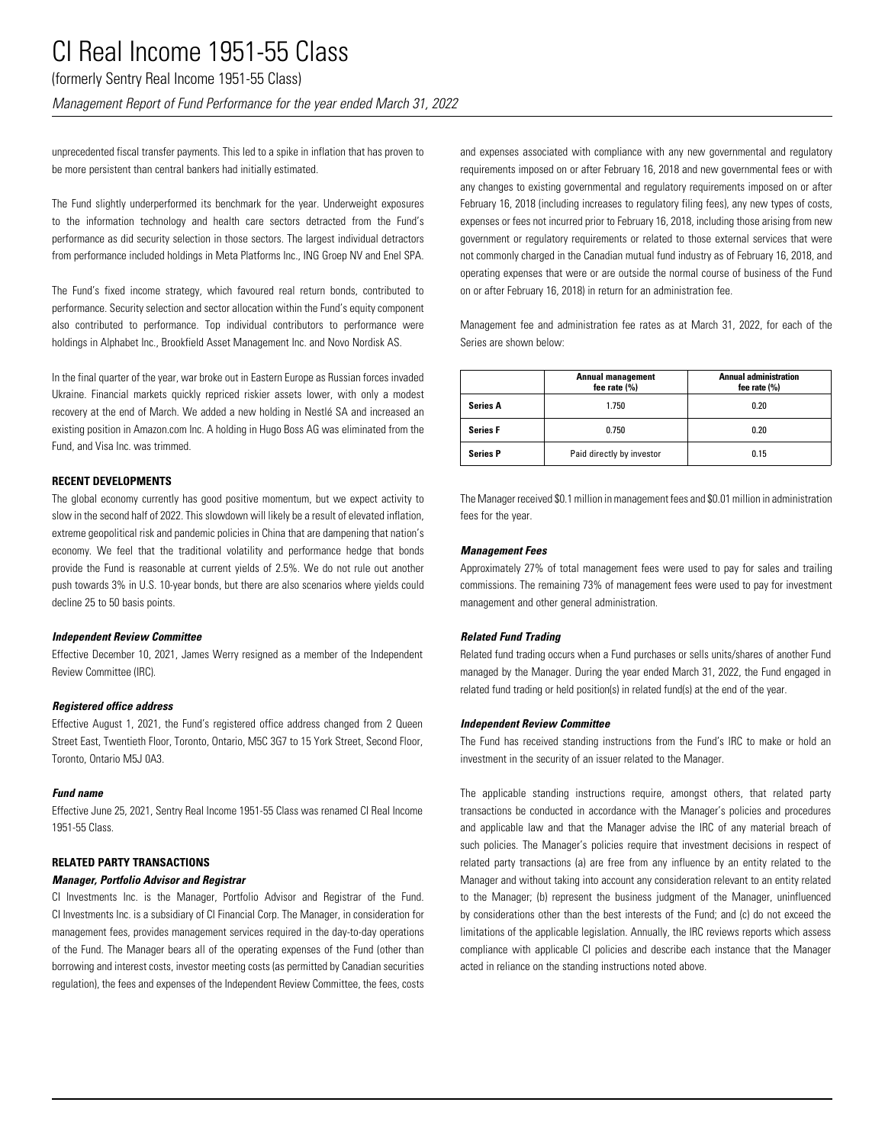(formerly Sentry Real Income 1951-55 Class)

*Management Report of Fund Performance for the year ended March 31, 2022*

unprecedented fiscal transfer payments. This led to a spike in inflation that has proven to be more persistent than central bankers had initially estimated.

The Fund slightly underperformed its benchmark for the year. Underweight exposures to the information technology and health care sectors detracted from the Fund's performance as did security selection in those sectors. The largest individual detractors from performance included holdings in Meta Platforms Inc., ING Groep NV and Enel SPA.

The Fund's fixed income strategy, which favoured real return bonds, contributed to performance. Security selection and sector allocation within the Fund's equity component also contributed to performance. Top individual contributors to performance were holdings in Alphabet Inc., Brookfield Asset Management Inc. and Novo Nordisk AS.

In the final quarter of the year, war broke out in Eastern Europe as Russian forces invaded Ukraine. Financial markets quickly repriced riskier assets lower, with only a modest recovery at the end of March. We added a new holding in Nestlé SA and increased an existing position in Amazon.com Inc. A holding in Hugo Boss AG was eliminated from the Fund, and Visa Inc. was trimmed.

### **RECENT DEVELOPMENTS**

The global economy currently has good positive momentum, but we expect activity to slow in the second half of 2022. This slowdown will likely be a result of elevated inflation, extreme geopolitical risk and pandemic policies in China that are dampening that nation's economy. We feel that the traditional volatility and performance hedge that bonds provide the Fund is reasonable at current yields of 2.5%. We do not rule out another push towards 3% in U.S. 10-year bonds, but there are also scenarios where yields could decline 25 to 50 basis points.

#### *Independent Review Committee*

Effective December 10, 2021, James Werry resigned as a member of the Independent Review Committee (IRC).

### *Registered office address*

Effective August 1, 2021, the Fund's registered office address changed from 2 Queen Street East, Twentieth Floor, Toronto, Ontario, M5C 3G7 to 15 York Street, Second Floor, Toronto, Ontario M5J 0A3.

#### *Fund name*

Effective June 25, 2021, Sentry Real Income 1951-55 Class was renamed CI Real Income 1951-55 Class.

### **RELATED PARTY TRANSACTIONS**

#### *Manager, Portfolio Advisor and Registrar*

CI Investments Inc. is the Manager, Portfolio Advisor and Registrar of the Fund. CI Investments Inc. is a subsidiary of CI Financial Corp. The Manager, in consideration for management fees, provides management services required in the day-to-day operations of the Fund. The Manager bears all of the operating expenses of the Fund (other than borrowing and interest costs, investor meeting costs (as permitted by Canadian securities regulation), the fees and expenses of the Independent Review Committee, the fees, costs

and expenses associated with compliance with any new governmental and regulatory requirements imposed on or after February 16, 2018 and new governmental fees or with any changes to existing governmental and regulatory requirements imposed on or after February 16, 2018 (including increases to regulatory filing fees), any new types of costs, expenses or fees not incurred prior to February 16, 2018, including those arising from new government or regulatory requirements or related to those external services that were not commonly charged in the Canadian mutual fund industry as of February 16, 2018, and operating expenses that were or are outside the normal course of business of the Fund on or after February 16, 2018) in return for an administration fee.

Management fee and administration fee rates as at March 31, 2022, for each of the Series are shown below:

|                 | <b>Annual management</b><br>fee rate $(\%)$ | <b>Annual administration</b><br>fee rate $(\% )$ |
|-----------------|---------------------------------------------|--------------------------------------------------|
| <b>Series A</b> | 1.750                                       | 0.20                                             |
| <b>Series F</b> | 0.750                                       | 0.20                                             |
| <b>Series P</b> | Paid directly by investor                   | 0.15                                             |

The Manager received \$0.1 million in management fees and \$0.01 million in administration fees for the year.

#### *Management Fees*

Approximately 27% of total management fees were used to pay for sales and trailing commissions. The remaining 73% of management fees were used to pay for investment management and other general administration.

### *Related Fund Trading*

Related fund trading occurs when a Fund purchases or sells units/shares of another Fund managed by the Manager. During the year ended March 31, 2022, the Fund engaged in related fund trading or held position(s) in related fund(s) at the end of the year.

#### *Independent Review Committee*

The Fund has received standing instructions from the Fund's IRC to make or hold an investment in the security of an issuer related to the Manager.

The applicable standing instructions require, amongst others, that related party transactions be conducted in accordance with the Manager's policies and procedures and applicable law and that the Manager advise the IRC of any material breach of such policies. The Manager's policies require that investment decisions in respect of related party transactions (a) are free from any influence by an entity related to the Manager and without taking into account any consideration relevant to an entity related to the Manager; (b) represent the business judgment of the Manager, uninfluenced by considerations other than the best interests of the Fund; and (c) do not exceed the limitations of the applicable legislation. Annually, the IRC reviews reports which assess compliance with applicable CI policies and describe each instance that the Manager acted in reliance on the standing instructions noted above.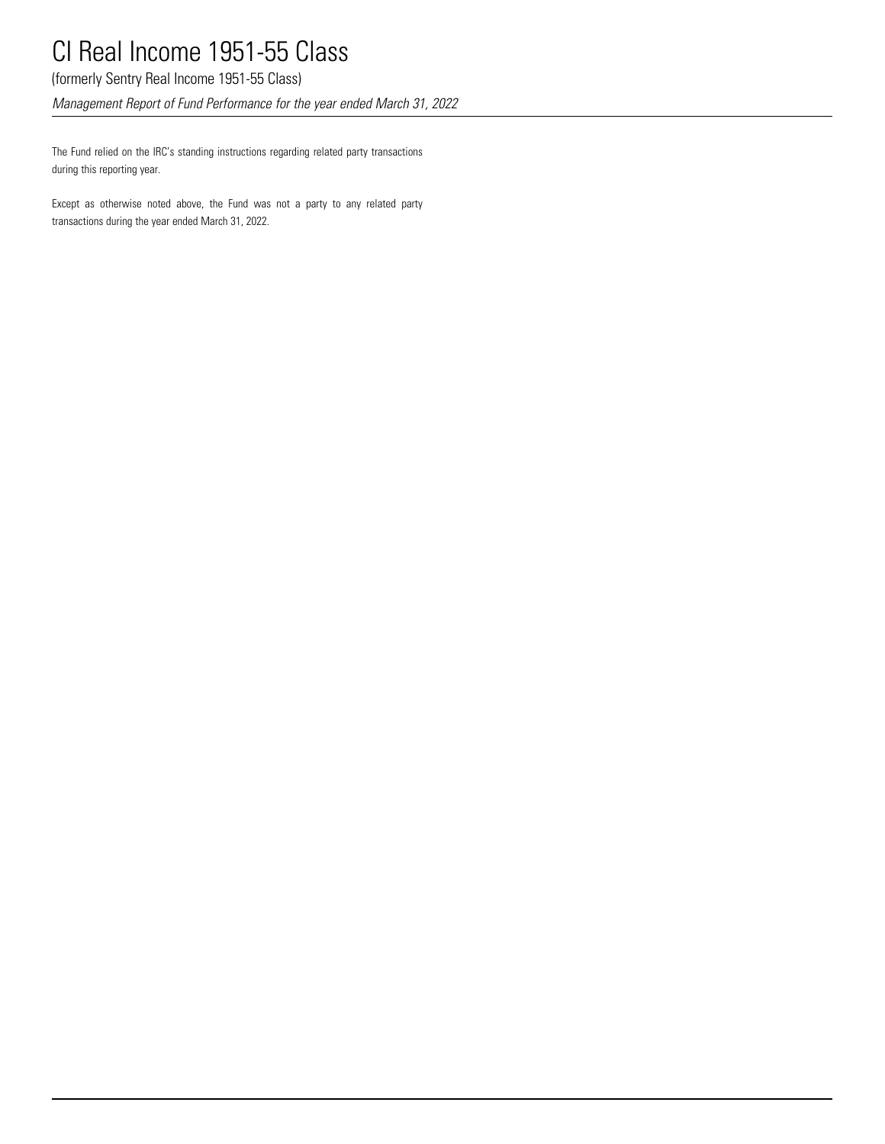(formerly Sentry Real Income 1951-55 Class)

*Management Report of Fund Performance for the year ended March 31, 2022*

The Fund relied on the IRC's standing instructions regarding related party transactions during this reporting year.

Except as otherwise noted above, the Fund was not a party to any related party transactions during the year ended March 31, 2022.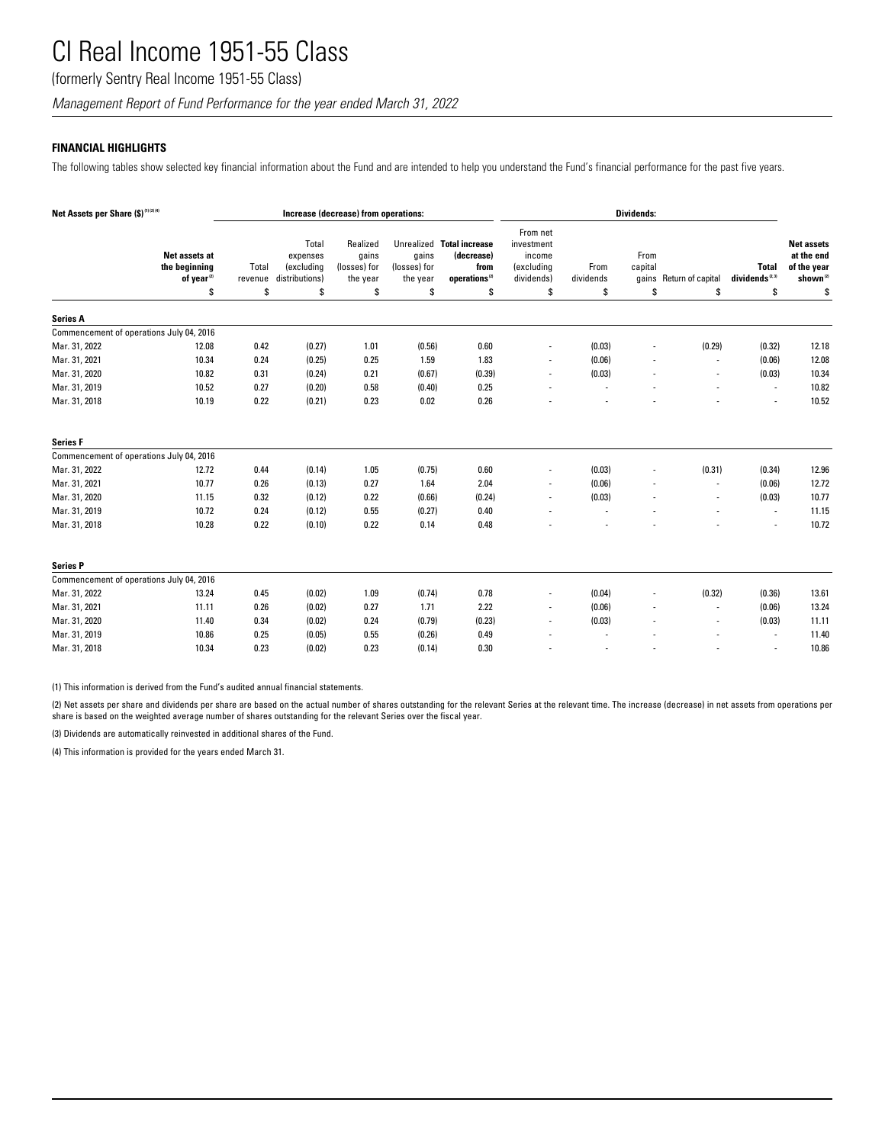(formerly Sentry Real Income 1951-55 Class)

*Management Report of Fund Performance for the year ended March 31, 2022*

## **FINANCIAL HIGHLIGHTS**

The following tables show selected key financial information about the Fund and are intended to help you understand the Fund's financial performance for the past five years.

| Net Assets per Share (\$)(1)(2)(4)       |                                                                |                       | Increase (decrease) from operations:                    |                                                     |                                         |                                                                                    | <b>Dividends:</b>                                                  |                         |                       |                               |                                            |                                                                             |
|------------------------------------------|----------------------------------------------------------------|-----------------------|---------------------------------------------------------|-----------------------------------------------------|-----------------------------------------|------------------------------------------------------------------------------------|--------------------------------------------------------------------|-------------------------|-----------------------|-------------------------------|--------------------------------------------|-----------------------------------------------------------------------------|
|                                          | Net assets at<br>the beginning<br>of year <sup>(2)</sup><br>\$ | Total<br>revenue<br>S | Total<br>expenses<br>(excluding<br>distributions)<br>\$ | Realized<br>gains<br>(losses) for<br>the year<br>\$ | gains<br>(losses) for<br>the year<br>\$ | Unrealized Total increase<br>(decrease)<br>from<br>operations <sup>(2)</sup><br>\$ | From net<br>investment<br>income<br>(excluding<br>dividends)<br>s. | From<br>dividends<br>\$ | From<br>capital<br>\$ | gains Return of capital<br>\$ | <b>Total</b><br>dividends $^{(2,3)}$<br>\$ | <b>Net assets</b><br>at the end<br>of the year<br>shown <sup>(2)</sup><br>S |
| <b>Series A</b>                          |                                                                |                       |                                                         |                                                     |                                         |                                                                                    |                                                                    |                         |                       |                               |                                            |                                                                             |
| Commencement of operations July 04, 2016 |                                                                |                       |                                                         |                                                     |                                         |                                                                                    |                                                                    |                         |                       |                               |                                            |                                                                             |
| Mar. 31, 2022                            | 12.08                                                          | 0.42                  | (0.27)                                                  | 1.01                                                | (0.56)                                  | 0.60                                                                               |                                                                    | (0.03)                  |                       | (0.29)                        | (0.32)                                     | 12.18                                                                       |
| Mar. 31, 2021                            | 10.34                                                          | 0.24                  | (0.25)                                                  | 0.25                                                | 1.59                                    | 1.83                                                                               |                                                                    | (0.06)                  |                       |                               | (0.06)                                     | 12.08                                                                       |
| Mar. 31, 2020                            | 10.82                                                          | 0.31                  | (0.24)                                                  | 0.21                                                | (0.67)                                  | (0.39)                                                                             | $\overline{\phantom{a}}$                                           | (0.03)                  |                       |                               | (0.03)                                     | 10.34                                                                       |
| Mar. 31, 2019                            | 10.52                                                          | 0.27                  | (0.20)                                                  | 0.58                                                | (0.40)                                  | 0.25                                                                               |                                                                    |                         |                       |                               | $\overline{\phantom{a}}$                   | 10.82                                                                       |
| Mar. 31, 2018                            | 10.19                                                          | 0.22                  | (0.21)                                                  | 0.23                                                | 0.02                                    | 0.26                                                                               |                                                                    |                         |                       |                               |                                            | 10.52                                                                       |
| <b>Series F</b>                          |                                                                |                       |                                                         |                                                     |                                         |                                                                                    |                                                                    |                         |                       |                               |                                            |                                                                             |
| Commencement of operations July 04, 2016 |                                                                |                       |                                                         |                                                     |                                         |                                                                                    |                                                                    |                         |                       |                               |                                            |                                                                             |
| Mar. 31, 2022                            | 12.72                                                          | 0.44                  | (0.14)                                                  | 1.05                                                | (0.75)                                  | 0.60                                                                               |                                                                    | (0.03)                  |                       | (0.31)                        | (0.34)                                     | 12.96                                                                       |
| Mar. 31, 2021                            | 10.77                                                          | 0.26                  | (0.13)                                                  | 0.27                                                | 1.64                                    | 2.04                                                                               |                                                                    | (0.06)                  |                       |                               | (0.06)                                     | 12.72                                                                       |
| Mar. 31, 2020                            | 11.15                                                          | 0.32                  | (0.12)                                                  | 0.22                                                | (0.66)                                  | (0.24)                                                                             |                                                                    | (0.03)                  |                       |                               | (0.03)                                     | 10.77                                                                       |
| Mar. 31, 2019                            | 10.72                                                          | 0.24                  | (0.12)                                                  | 0.55                                                | (0.27)                                  | 0.40                                                                               |                                                                    |                         |                       |                               | $\sim$                                     | 11.15                                                                       |
| Mar. 31, 2018                            | 10.28                                                          | 0.22                  | (0.10)                                                  | 0.22                                                | 0.14                                    | 0.48                                                                               |                                                                    |                         |                       |                               |                                            | 10.72                                                                       |
| <b>Series P</b>                          |                                                                |                       |                                                         |                                                     |                                         |                                                                                    |                                                                    |                         |                       |                               |                                            |                                                                             |
| Commencement of operations July 04, 2016 |                                                                |                       |                                                         |                                                     |                                         |                                                                                    |                                                                    |                         |                       |                               |                                            |                                                                             |
| Mar. 31, 2022                            | 13.24                                                          | 0.45                  | (0.02)                                                  | 1.09                                                | (0.74)                                  | 0.78                                                                               | $\overline{\phantom{a}}$                                           | (0.04)                  |                       | (0.32)                        | (0.36)                                     | 13.61                                                                       |
| Mar. 31, 2021                            | 11.11                                                          | 0.26                  | (0.02)                                                  | 0.27                                                | 1.71                                    | 2.22                                                                               |                                                                    | (0.06)                  |                       |                               | (0.06)                                     | 13.24                                                                       |
| Mar. 31, 2020                            | 11.40                                                          | 0.34                  | (0.02)                                                  | 0.24                                                | (0.79)                                  | (0.23)                                                                             |                                                                    | (0.03)                  |                       |                               | (0.03)                                     | 11.11                                                                       |
| Mar. 31, 2019                            | 10.86                                                          | 0.25                  | (0.05)                                                  | 0.55                                                | (0.26)                                  | 0.49                                                                               |                                                                    |                         |                       |                               | $\overline{\phantom{a}}$                   | 11.40                                                                       |
| Mar. 31, 2018                            | 10.34                                                          | 0.23                  | (0.02)                                                  | 0.23                                                | (0.14)                                  | 0.30                                                                               |                                                                    |                         |                       |                               |                                            | 10.86                                                                       |

(1) This information is derived from the Fund's audited annual financial statements.

(2) Net assets per share and dividends per share are based on the actual number of shares outstanding for the relevant Series at the relevant time. The increase (decrease) in net assets from operations per share is based on the weighted average number of shares outstanding for the relevant Series over the fiscal year.

(3) Dividends are automatically reinvested in additional shares of the Fund.

(4) This information is provided for the years ended March 31.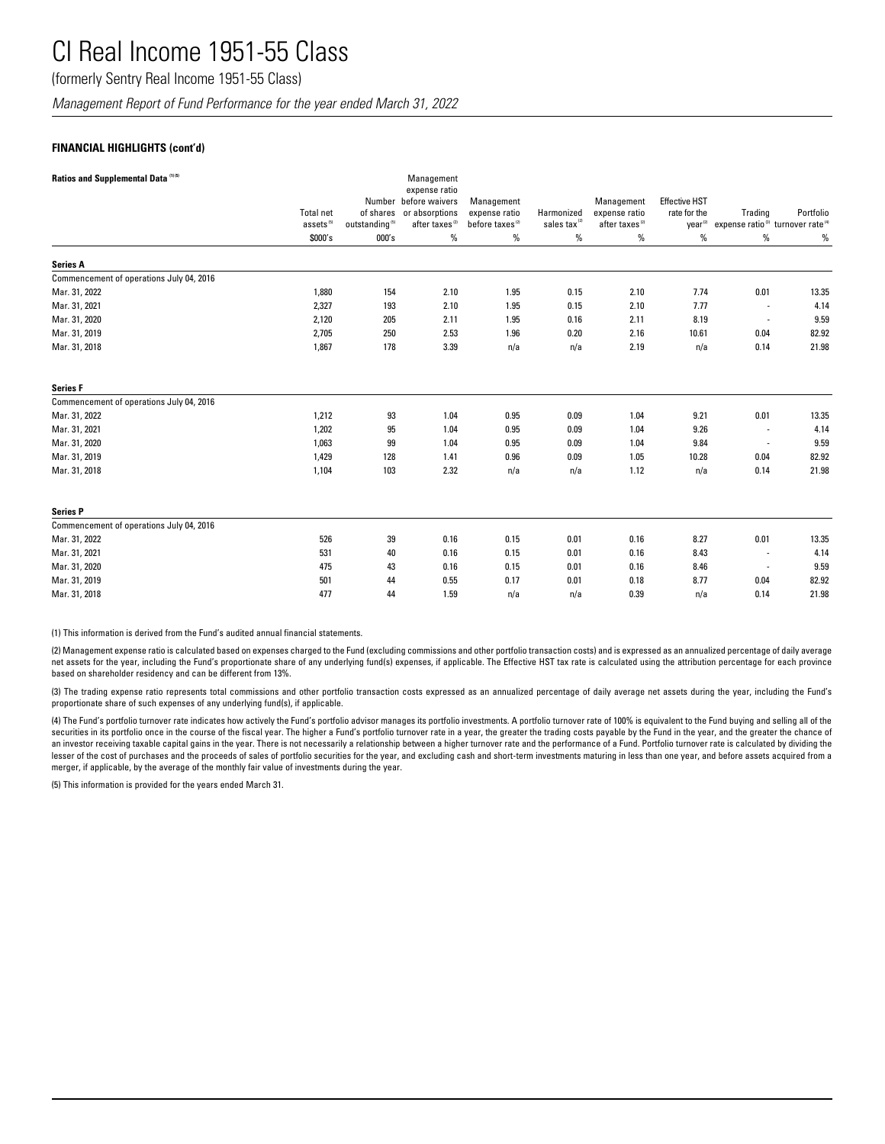(formerly Sentry Real Income 1951-55 Class)

*Management Report of Fund Performance for the year ended March 31, 2022*

## **FINANCIAL HIGHLIGHTS (cont'd)**

| Ratios and Supplemental Data <sup>(1)(5)</sup> |                       |                            | Management                             |                             |                          |                            |                      |                                                           |           |
|------------------------------------------------|-----------------------|----------------------------|----------------------------------------|-----------------------------|--------------------------|----------------------------|----------------------|-----------------------------------------------------------|-----------|
|                                                |                       |                            | expense ratio<br>Number before waivers | Management                  |                          | Management                 | <b>Effective HST</b> |                                                           |           |
|                                                | <b>Total net</b>      | of shares                  | or absorptions                         | expense ratio               | Harmonized               | expense ratio              | rate for the         | Trading                                                   | Portfolio |
|                                                | assets <sup>(5)</sup> | outstanding <sup>(5)</sup> | after taxes <sup>(2)</sup>             | before taxes <sup>(2)</sup> | sales tax <sup>(2)</sup> | after taxes <sup>(2)</sup> | year <sup>(2)</sup>  | expense ratio <sup>(3)</sup> turnover rate <sup>(4)</sup> |           |
|                                                | \$000's               | 000's                      | $\%$                                   | $\%$                        | $\%$                     | $\%$                       | $\%$                 | $\%$                                                      | $\%$      |
| <b>Series A</b>                                |                       |                            |                                        |                             |                          |                            |                      |                                                           |           |
| Commencement of operations July 04, 2016       |                       |                            |                                        |                             |                          |                            |                      |                                                           |           |
| Mar. 31, 2022                                  | 1,880                 | 154                        | 2.10                                   | 1.95                        | 0.15                     | 2.10                       | 7.74                 | 0.01                                                      | 13.35     |
| Mar. 31, 2021                                  | 2,327                 | 193                        | 2.10                                   | 1.95                        | 0.15                     | 2.10                       | 7.77                 | $\overline{a}$                                            | 4.14      |
| Mar. 31, 2020                                  | 2,120                 | 205                        | 2.11                                   | 1.95                        | 0.16                     | 2.11                       | 8.19                 | $\overline{\phantom{a}}$                                  | 9.59      |
| Mar. 31, 2019                                  | 2,705                 | 250                        | 2.53                                   | 1.96                        | 0.20                     | 2.16                       | 10.61                | 0.04                                                      | 82.92     |
| Mar. 31, 2018                                  | 1,867                 | 178                        | 3.39                                   | n/a                         | n/a                      | 2.19                       | n/a                  | 0.14                                                      | 21.98     |
| <b>Series F</b>                                |                       |                            |                                        |                             |                          |                            |                      |                                                           |           |
| Commencement of operations July 04, 2016       |                       |                            |                                        |                             |                          |                            |                      |                                                           |           |
| Mar. 31, 2022                                  | 1,212                 | 93                         | 1.04                                   | 0.95                        | 0.09                     | 1.04                       | 9.21                 | 0.01                                                      | 13.35     |
| Mar. 31, 2021                                  | 1,202                 | 95                         | 1.04                                   | 0.95                        | 0.09                     | 1.04                       | 9.26                 | $\overline{\phantom{a}}$                                  | 4.14      |
| Mar. 31, 2020                                  | 1,063                 | 99                         | 1.04                                   | 0.95                        | 0.09                     | 1.04                       | 9.84                 | $\overline{a}$                                            | 9.59      |
| Mar. 31, 2019                                  | 1,429                 | 128                        | 1.41                                   | 0.96                        | 0.09                     | 1.05                       | 10.28                | 0.04                                                      | 82.92     |
| Mar. 31, 2018                                  | 1,104                 | 103                        | 2.32                                   | n/a                         | n/a                      | 1.12                       | n/a                  | 0.14                                                      | 21.98     |
| <b>Series P</b>                                |                       |                            |                                        |                             |                          |                            |                      |                                                           |           |
| Commencement of operations July 04, 2016       |                       |                            |                                        |                             |                          |                            |                      |                                                           |           |
| Mar. 31, 2022                                  | 526                   | 39                         | 0.16                                   | 0.15                        | 0.01                     | 0.16                       | 8.27                 | 0.01                                                      | 13.35     |
| Mar. 31, 2021                                  | 531                   | 40                         | 0.16                                   | 0.15                        | 0.01                     | 0.16                       | 8.43                 | $\overline{\phantom{a}}$                                  | 4.14      |
| Mar. 31, 2020                                  | 475                   | 43                         | 0.16                                   | 0.15                        | 0.01                     | 0.16                       | 8.46                 | $\overline{\phantom{a}}$                                  | 9.59      |
| Mar. 31, 2019                                  | 501                   | 44                         | 0.55                                   | 0.17                        | 0.01                     | 0.18                       | 8.77                 | 0.04                                                      | 82.92     |
| Mar. 31, 2018                                  | 477                   | 44                         | 1.59                                   | n/a                         | n/a                      | 0.39                       | n/a                  | 0.14                                                      | 21.98     |

(1) This information is derived from the Fund's audited annual financial statements.

(2) Management expense ratio is calculated based on expenses charged to the Fund (excluding commissions and other portfolio transaction costs) and is expressed as an annualized percentage of daily average net assets for the year, including the Fund's proportionate share of any underlying fund(s) expenses, if applicable. The Effective HST tax rate is calculated using the attribution percentage for each province based on shareholder residency and can be different from 13%.

(3) The trading expense ratio represents total commissions and other portfolio transaction costs expressed as an annualized percentage of daily average net assets during the year, including the Fund's proportionate share of such expenses of any underlying fund(s), if applicable.

(4) The Fund's portfolio turnover rate indicates how actively the Fund's portfolio advisor manages its portfolio investments. A portfolio turnover rate of 100% is equivalent to the Fund buying and selling all of the securities in its portfolio once in the course of the fiscal year. The higher a Fund's portfolio turnover rate in a year, the greater the trading costs payable by the Fund in the year, and the greater the chance of an investor receiving taxable capital gains in the year. There is not necessarily a relationship between a higher turnover rate and the performance of a Fund. Portfolio turnover rate is calculated by dividing the lesser of the cost of purchases and the proceeds of sales of portfolio securities for the year, and excluding cash and short-term investments maturing in less than one year, and before assets acquired from a merger, if applicable, by the average of the monthly fair value of investments during the year.

(5) This information is provided for the years ended March 31.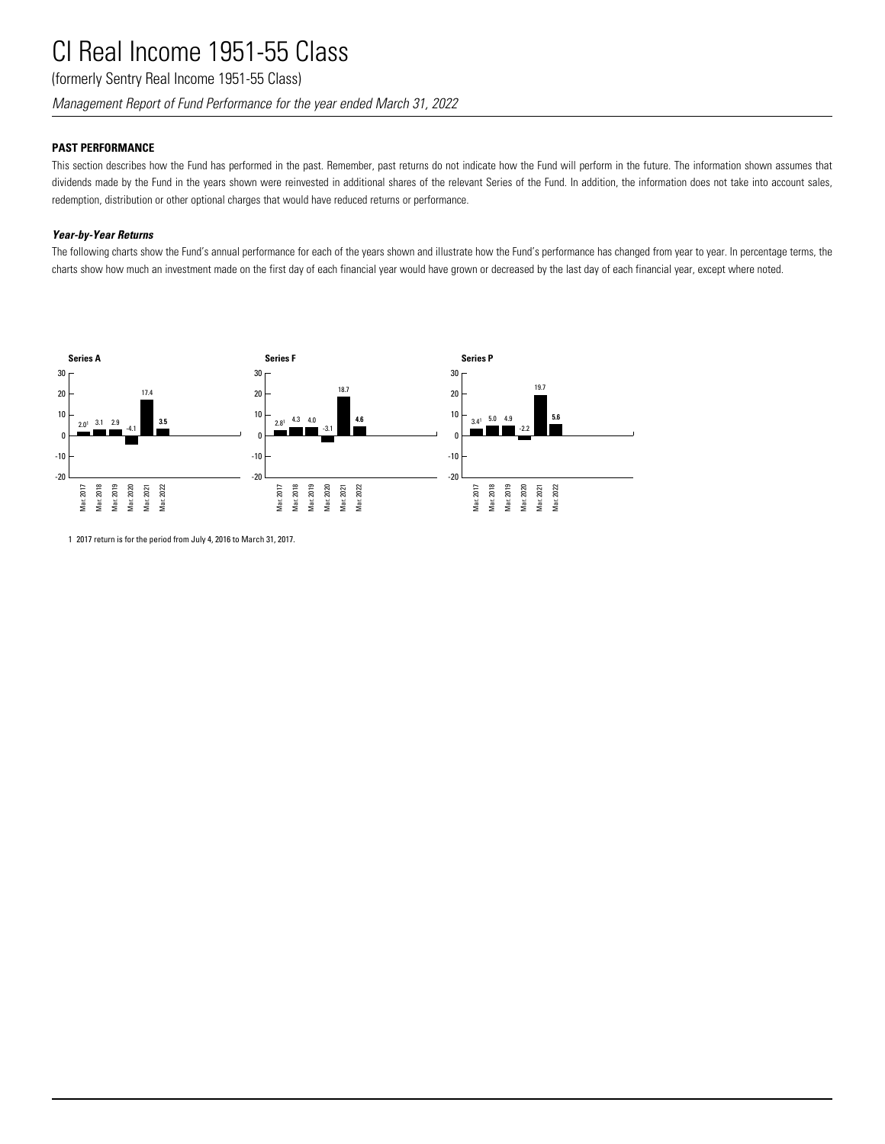(formerly Sentry Real Income 1951-55 Class)

*Management Report of Fund Performance for the year ended March 31, 2022*

## **PAST PERFORMANCE**

This section describes how the Fund has performed in the past. Remember, past returns do not indicate how the Fund will perform in the future. The information shown assumes that dividends made by the Fund in the years shown were reinvested in additional shares of the relevant Series of the Fund. In addition, the information does not take into account sales, redemption, distribution or other optional charges that would have reduced returns or performance.

## *Year-by-Year Returns*

The following charts show the Fund's annual performance for each of the years shown and illustrate how the Fund's performance has changed from year to year. In percentage terms, the charts show how much an investment made on the first day of each financial year would have grown or decreased by the last day of each financial year, except where noted.



1 2017 return is for the period from July 4, 2016 to March 31, 2017.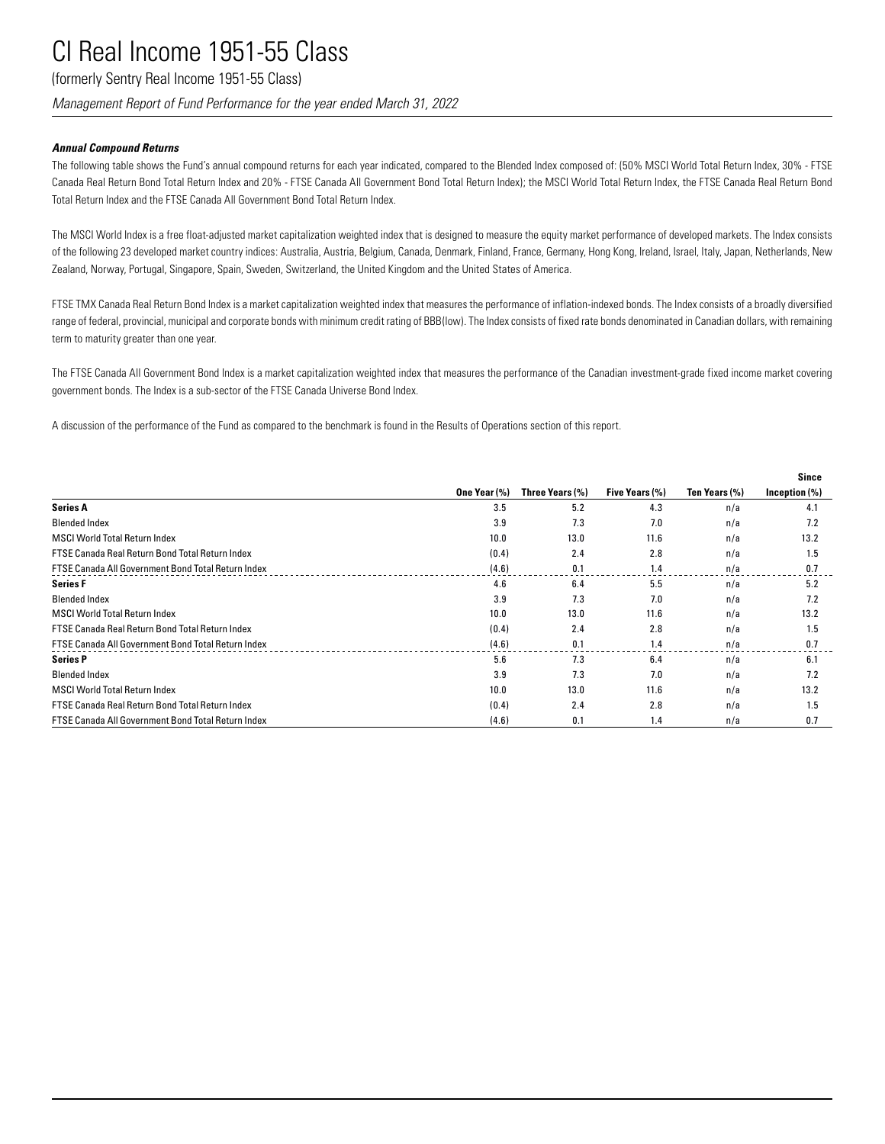(formerly Sentry Real Income 1951-55 Class)

*Management Report of Fund Performance for the year ended March 31, 2022*

## *Annual Compound Returns*

The following table shows the Fund's annual compound returns for each year indicated, compared to the Blended Index composed of: (50% MSCI World Total Return Index, 30% - FTSE Canada Real Return Bond Total Return Index and 20% - FTSE Canada All Government Bond Total Return Index); the MSCI World Total Return Index, the FTSE Canada Real Return Bond Total Return Index and the FTSE Canada All Government Bond Total Return Index.

The MSCI World Index is a free float-adjusted market capitalization weighted index that is designed to measure the equity market performance of developed markets. The Index consists of the following 23 developed market country indices: Australia, Austria, Belgium, Canada, Denmark, Finland, France, Germany, Hong Kong, Ireland, Israel, Italy, Japan, Netherlands, New Zealand, Norway, Portugal, Singapore, Spain, Sweden, Switzerland, the United Kingdom and the United States of America.

FTSE TMX Canada Real Return Bond Index is a market capitalization weighted index that measures the performance of inflation-indexed bonds. The Index consists of a broadly diversified range of federal, provincial, municipal and corporate bonds with minimum credit rating of BBB(low). The Index consists of fixed rate bonds denominated in Canadian dollars, with remaining term to maturity greater than one year.

The FTSE Canada All Government Bond Index is a market capitalization weighted index that measures the performance of the Canadian investment-grade fixed income market covering government bonds. The Index is a sub-sector of the FTSE Canada Universe Bond Index.

A discussion of the performance of the Fund as compared to the benchmark is found in the Results of Operations section of this report.

|                                                           |              |                 |                |               | <b>Since</b>     |
|-----------------------------------------------------------|--------------|-----------------|----------------|---------------|------------------|
|                                                           | One Year (%) | Three Years (%) | Five Years (%) | Ten Years (%) | Inception $(\%)$ |
| <b>Series A</b>                                           | 3.5          | 5.2             | 4.3            | n/a           | 4.1              |
| <b>Blended Index</b>                                      | 3.9          | 7.3             | 7.0            | n/a           | 7.2              |
| <b>MSCI World Total Return Index</b>                      | 10.0         | 13.0            | 11.6           | n/a           | 13.2             |
| FTSE Canada Real Return Bond Total Return Index           | (0.4)        | 2.4             | 2.8            | n/a           | 1.5              |
| FTSE Canada All Government Bond Total Return Index        | (4.6)        | 0.1             | 1.4            | n/a           | 0.7              |
| <b>Series F</b>                                           | 4.6          | 6.4             | 5.5            | n/a           | 5.2              |
| <b>Blended Index</b>                                      | 3.9          | 7.3             | 7.0            | n/a           | 7.2              |
| <b>MSCI World Total Return Index</b>                      | 10.0         | 13.0            | 11.6           | n/a           | 13.2             |
| FTSE Canada Real Return Bond Total Return Index           | (0.4)        | 2.4             | 2.8            | n/a           | 1.5              |
| <b>FTSE Canada All Government Bond Total Return Index</b> | (4.6)        | 0.1             | 1.4            | n/a           | 0.7              |
| <b>Series P</b>                                           | 5.6          | 7.3             | 6.4            | n/a           | 6.1              |
| <b>Blended Index</b>                                      | 3.9          | 7.3             | 7.0            | n/a           | 7.2              |
| <b>MSCI World Total Return Index</b>                      | 10.0         | 13.0            | 11.6           | n/a           | 13.2             |
| FTSE Canada Real Return Bond Total Return Index           | (0.4)        | 2.4             | 2.8            | n/a           | 1.5              |
| FTSE Canada All Government Bond Total Return Index        | (4.6)        | 0.1             | 1.4            | n/a           | 0.7              |